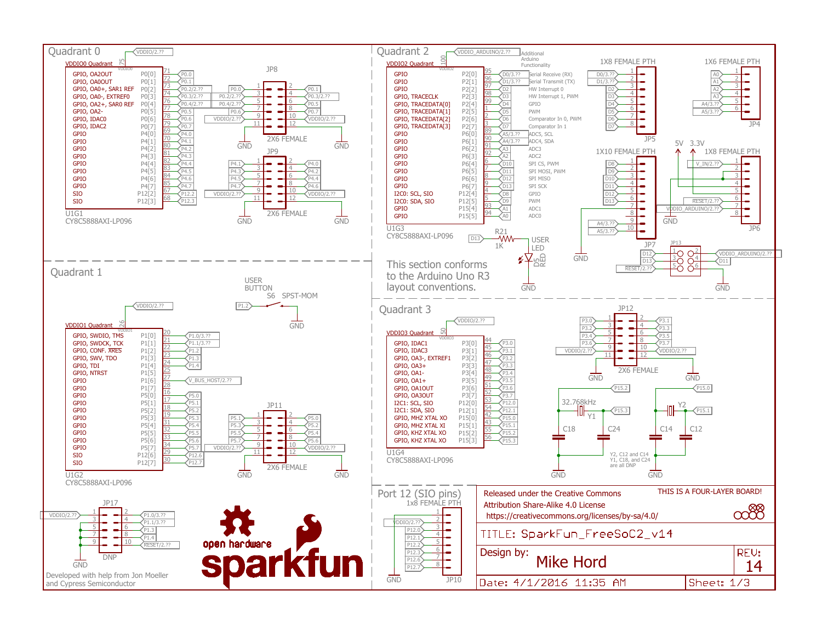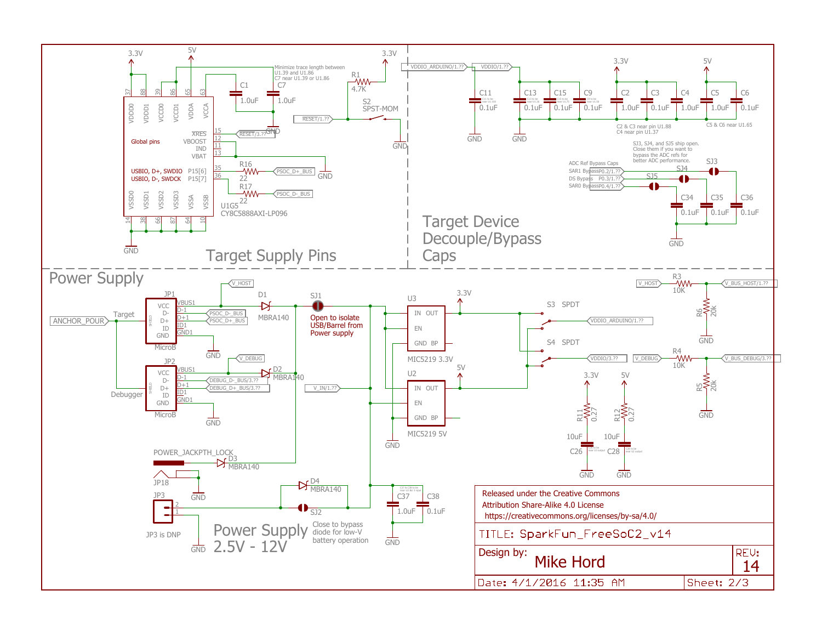